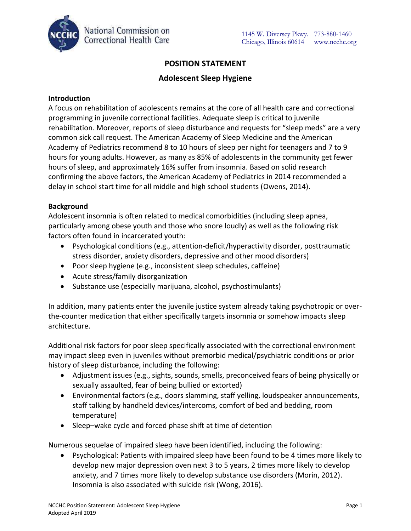

# **POSITION STATEMENT**

## **Adolescent Sleep Hygiene**

### **Introduction**

A focus on rehabilitation of adolescents remains at the core of all health care and correctional programming in juvenile correctional facilities. Adequate sleep is critical to juvenile rehabilitation. Moreover, reports of sleep disturbance and requests for "sleep meds" are a very common sick call request. The American Academy of Sleep Medicine and the American Academy of Pediatrics recommend 8 to 10 hours of sleep per night for teenagers and 7 to 9 hours for young adults. However, as many as 85% of adolescents in the community get fewer hours of sleep, and approximately 16% suffer from insomnia. Based on solid research confirming the above factors, the American Academy of Pediatrics in 2014 recommended a delay in school start time for all middle and high school students (Owens, 2014).

### **Background**

Adolescent insomnia is often related to medical comorbidities (including sleep apnea, particularly among obese youth and those who snore loudly) as well as the following risk factors often found in incarcerated youth:

- Psychological conditions (e.g., attention-deficit/hyperactivity disorder, posttraumatic stress disorder, anxiety disorders, depressive and other mood disorders)
- Poor sleep hygiene (e.g., inconsistent sleep schedules, caffeine)
- Acute stress/family disorganization
- Substance use (especially marijuana, alcohol, psychostimulants)

In addition, many patients enter the juvenile justice system already taking psychotropic or overthe-counter medication that either specifically targets insomnia or somehow impacts sleep architecture.

Additional risk factors for poor sleep specifically associated with the correctional environment may impact sleep even in juveniles without premorbid medical/psychiatric conditions or prior history of sleep disturbance, including the following:

- Adjustment issues (e.g., sights, sounds, smells, preconceived fears of being physically or sexually assaulted, fear of being bullied or extorted)
- Environmental factors (e.g., doors slamming, staff yelling, loudspeaker announcements, staff talking by handheld devices/intercoms, comfort of bed and bedding, room temperature)
- Sleep–wake cycle and forced phase shift at time of detention

Numerous sequelae of impaired sleep have been identified, including the following:

 Psychological: Patients with impaired sleep have been found to be 4 times more likely to develop new major depression oven next 3 to 5 years, 2 times more likely to develop anxiety, and 7 times more likely to develop substance use disorders (Morin, 2012). Insomnia is also associated with suicide risk (Wong, 2016).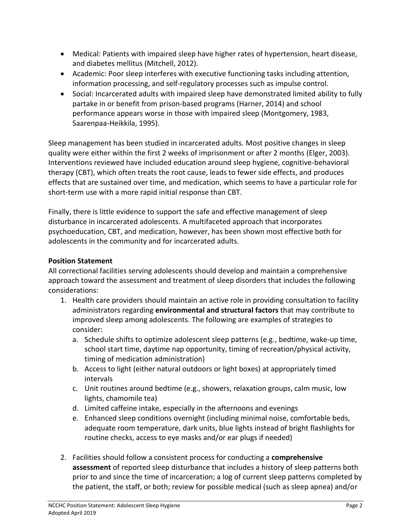- Medical: Patients with impaired sleep have higher rates of hypertension, heart disease, and diabetes mellitus (Mitchell, 2012).
- Academic: Poor sleep interferes with executive functioning tasks including attention, information processing, and self-regulatory processes such as impulse control.
- Social: Incarcerated adults with impaired sleep have demonstrated limited ability to fully partake in or benefit from prison-based programs (Harner, 2014) and school performance appears worse in those with impaired sleep (Montgomery, 1983, Saarenpaa-Heikkila, 1995).

Sleep management has been studied in incarcerated adults. Most positive changes in sleep quality were either within the first 2 weeks of imprisonment or after 2 months (Elger, 2003). Interventions reviewed have included education around sleep hygiene, cognitive-behavioral therapy (CBT), which often treats the root cause, leads to fewer side effects, and produces effects that are sustained over time, and medication, which seems to have a particular role for short-term use with a more rapid initial response than CBT.

Finally, there is little evidence to support the safe and effective management of sleep disturbance in incarcerated adolescents. A multifaceted approach that incorporates psychoeducation, CBT, and medication, however, has been shown most effective both for adolescents in the community and for incarcerated adults.

# **Position Statement**

All correctional facilities serving adolescents should develop and maintain a comprehensive approach toward the assessment and treatment of sleep disorders that includes the following considerations:

- 1. Health care providers should maintain an active role in providing consultation to facility administrators regarding **environmental and structural factors** that may contribute to improved sleep among adolescents. The following are examples of strategies to consider:
	- a. Schedule shifts to optimize adolescent sleep patterns (e.g., bedtime, wake-up time, school start time, daytime nap opportunity, timing of recreation/physical activity, timing of medication administration)
	- b. Access to light (either natural outdoors or light boxes) at appropriately timed intervals
	- c. Unit routines around bedtime (e.g., showers, relaxation groups, calm music, low lights, chamomile tea)
	- d. Limited caffeine intake, especially in the afternoons and evenings
	- e. Enhanced sleep conditions overnight (including minimal noise, comfortable beds, adequate room temperature, dark units, blue lights instead of bright flashlights for routine checks, access to eye masks and/or ear plugs if needed)
- 2. Facilities should follow a consistent process for conducting a **comprehensive assessment** of reported sleep disturbance that includes a history of sleep patterns both prior to and since the time of incarceration; a log of current sleep patterns completed by the patient, the staff, or both; review for possible medical (such as sleep apnea) and/or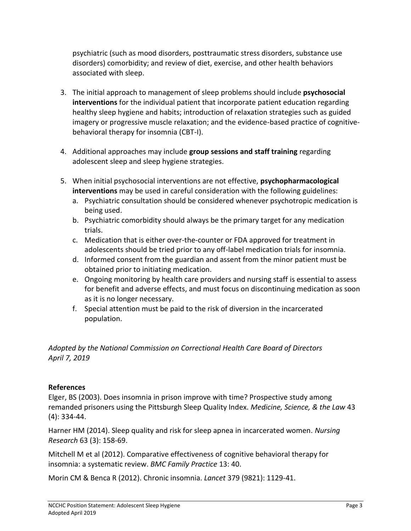psychiatric (such as mood disorders, posttraumatic stress disorders, substance use disorders) comorbidity; and review of diet, exercise, and other health behaviors associated with sleep.

- 3. The initial approach to management of sleep problems should include **psychosocial interventions** for the individual patient that incorporate patient education regarding healthy sleep hygiene and habits; introduction of relaxation strategies such as guided imagery or progressive muscle relaxation; and the evidence-based practice of cognitivebehavioral therapy for insomnia (CBT-I).
- 4. Additional approaches may include **group sessions and staff training** regarding adolescent sleep and sleep hygiene strategies.
- 5. When initial psychosocial interventions are not effective, **psychopharmacological interventions** may be used in careful consideration with the following guidelines:
	- a. Psychiatric consultation should be considered whenever psychotropic medication is being used.
	- b. Psychiatric comorbidity should always be the primary target for any medication trials.
	- c. Medication that is either over-the-counter or FDA approved for treatment in adolescents should be tried prior to any off-label medication trials for insomnia.
	- d. Informed consent from the guardian and assent from the minor patient must be obtained prior to initiating medication.
	- e. Ongoing monitoring by health care providers and nursing staff is essential to assess for benefit and adverse effects, and must focus on discontinuing medication as soon as it is no longer necessary.
	- f. Special attention must be paid to the risk of diversion in the incarcerated population.

*Adopted by the National Commission on Correctional Health Care Board of Directors April 7, 2019*

# **References**

Elger, BS (2003). Does insomnia in prison improve with time? Prospective study among remanded prisoners using the Pittsburgh Sleep Quality Index. *Medicine, Science, & the Law* 43 (4): 334-44.

Harner HM (2014). Sleep quality and risk for sleep apnea in incarcerated women. *Nursing Research* 63 (3): 158-69.

Mitchell M et al (2012). Comparative effectiveness of cognitive behavioral therapy for insomnia: a systematic review. *BMC Family Practice* 13: 40.

Morin CM & Benca R (2012). Chronic insomnia. *Lancet* 379 (9821): 1129-41.